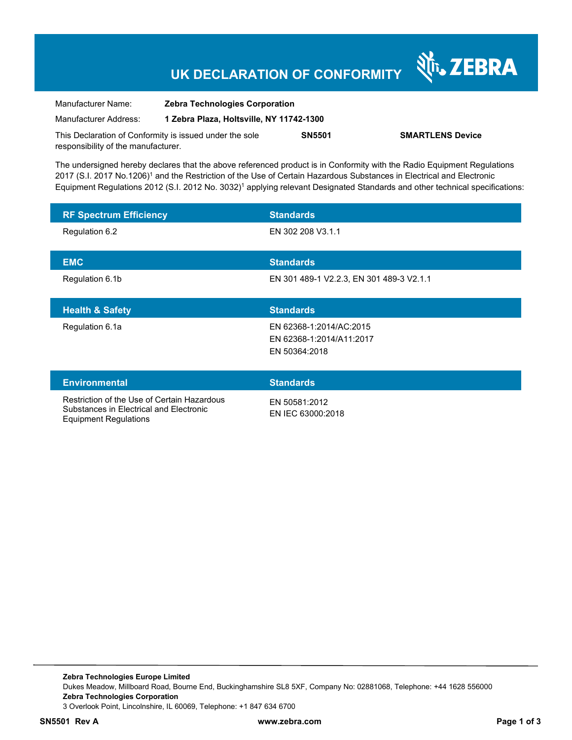### **UK DECLARATION OF CONFORMITY**

Nr. ZEBRA

| Manufacturer Name:                                      | <b>Zebra Technologies Corporation</b>    |               |                         |
|---------------------------------------------------------|------------------------------------------|---------------|-------------------------|
| Manufacturer Address:                                   | 1 Zebra Plaza, Holtsville, NY 11742-1300 |               |                         |
| This Declaration of Conformity is issued under the sole |                                          | <b>SN5501</b> | <b>SMARTLENS Device</b> |
| responsibility of the manufacturer.                     |                                          |               |                         |

The undersigned hereby declares that the above referenced product is in Conformity with the Radio Equipment Regulations 2017 (S.I. 2017 No.1206)<sup>1</sup> and the Restriction of the Use of Certain Hazardous Substances in Electrical and Electronic Equipment Regulations 2012 (S.I. 2012 No. 3032)<sup>1</sup> applying relevant Designated Standards and other technical specifications:

| <b>RF Spectrum Efficiency</b>                                                          | <b>Standards</b>                                                     |  |
|----------------------------------------------------------------------------------------|----------------------------------------------------------------------|--|
| Regulation 6.2                                                                         | EN 302 208 V3.1.1                                                    |  |
| <b>EMC</b>                                                                             | <b>Standards</b>                                                     |  |
| Regulation 6.1b                                                                        | EN 301 489-1 V2.2.3, EN 301 489-3 V2.1.1                             |  |
| <b>Health &amp; Safety</b>                                                             | <b>Standards</b>                                                     |  |
| Regulation 6.1a                                                                        | EN 62368-1:2014/AC:2015<br>EN 62368-1:2014/A11:2017<br>EN 50364:2018 |  |
| <b>Environmental</b>                                                                   | <b>Standards</b>                                                     |  |
| Restriction of the Use of Certain Hazardous<br>Substances in Electrical and Electronic | EN 50581:2012<br>ENLIEC 63000.0018                                   |  |

Equipment Regulations

EN IEC 63000:2018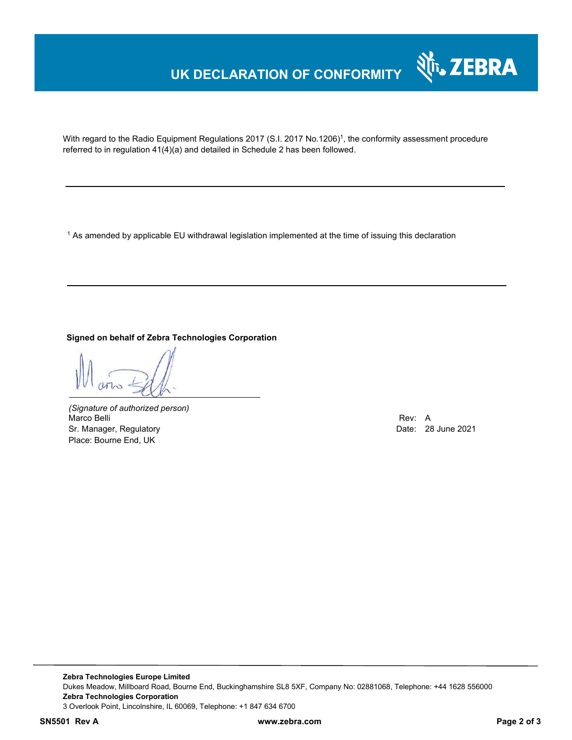## **UK DECLARATION OF CONFORMITY**



With regard to the Radio Equipment Regulations 2017 (S.I. 2017 No.1206)<sup>1</sup>, the conformity assessment procedure referred to in regulation 41(4)(a) and detailed in Schedule 2 has been followed.

 $^{\rm 1}$  As amended by applicable EU withdrawal legislation implemented at the time of issuing this declaration

**Signed on behalf of Zebra Technologies Corporation** 

*(Signature of authorized person)* Marco Belli Rev: A Sr. Manager, Regulatory **Date: 28 June 2021** Control of the United States of the Date: 28 June 2021 Place: Bourne End, UK